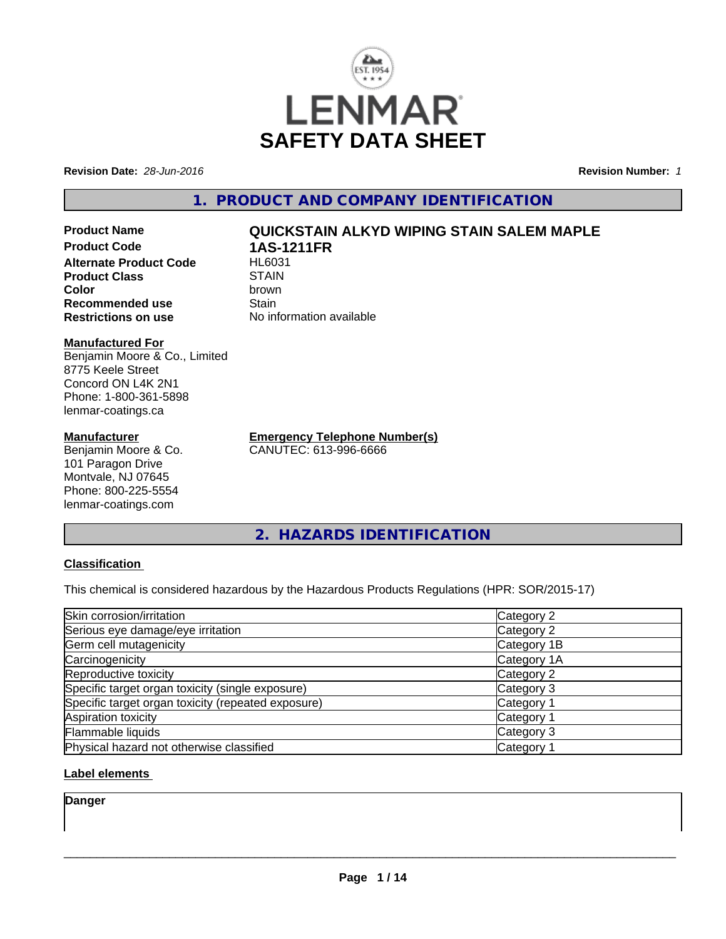

**Revision Date:** *28-Jun-2016* **Revision Number:** *1*

**1. PRODUCT AND COMPANY IDENTIFICATION**

**Product Name QUICKSTAIN ALKYD WIPING STAIN SALEM MAPLE Product Code 1AS-1211FR Alternate Product Code Product Class** STAIN<br> **Color** brown **Color** brown **Recommended use Stain Restrictions on use** No information available

#### **Manufactured For**

Benjamin Moore & Co., Limited 8775 Keele Street Concord ON L4K 2N1 Phone: 1-800-361-5898 lenmar-coatings.ca

### **Manufacturer**

Benjamin Moore & Co. 101 Paragon Drive Montvale, NJ 07645 Phone: 800-225-5554 lenmar-coatings.com

**Emergency Telephone Number(s)** CANUTEC: 613-996-6666

**2. HAZARDS IDENTIFICATION**

# **Classification**

This chemical is considered hazardous by the Hazardous Products Regulations (HPR: SOR/2015-17)

| Skin corrosion/irritation                          | Category 2            |
|----------------------------------------------------|-----------------------|
| Serious eye damage/eye irritation                  | Category 2            |
| Germ cell mutagenicity                             | Category 1B           |
| Carcinogenicity                                    | Category 1A           |
| Reproductive toxicity                              | Category 2            |
| Specific target organ toxicity (single exposure)   | Category 3            |
| Specific target organ toxicity (repeated exposure) | Category <sup>2</sup> |
| Aspiration toxicity                                | Category 1            |
| Flammable liquids                                  | Category 3            |
| Physical hazard not otherwise classified           | Category 1            |

# **Label elements**

**Danger**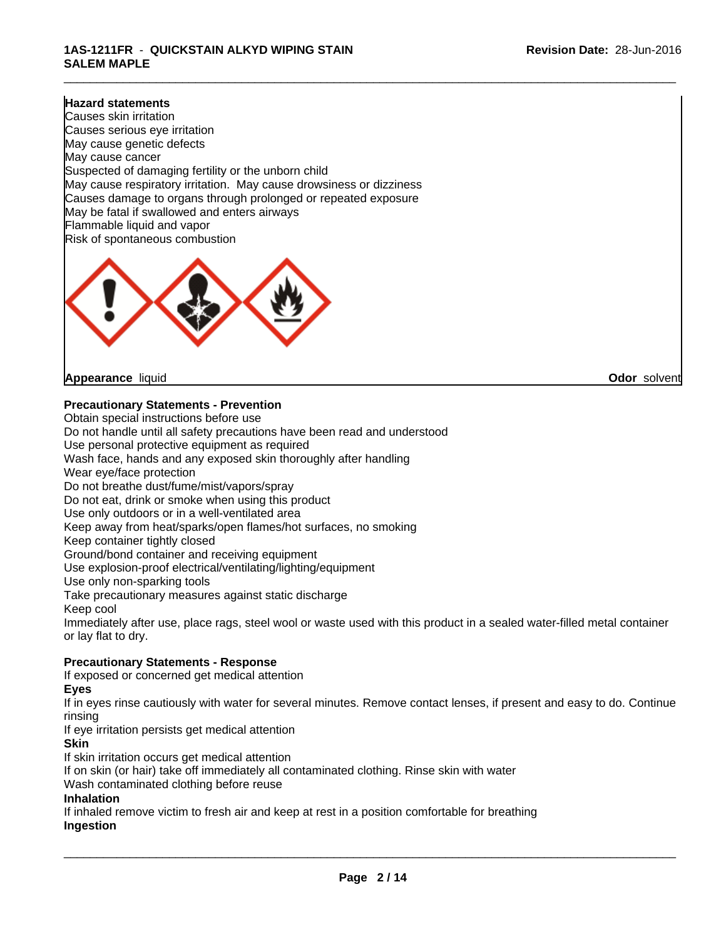### **1AS-1211FR** - **QUICKSTAIN ALKYD WIPING STAIN SALEM MAPLE**

#### **Hazard statements**

Causes skin irritation Causes serious eye irritation May cause genetic defects May cause cancer Suspected of damaging fertility or the unborn child May cause respiratory irritation. May cause drowsiness or dizziness Causes damage to organs through prolonged or repeated exposure May be fatal if swallowed and enters airways Flammable liquid and vapor Risk of spontaneous combustion



**Appearance** liquid **Odor** solvent

**Precautionary Statements - Prevention**

Obtain special instructions before use Do not handle until all safety precautions have been read and understood Use personal protective equipment as required Wash face, hands and any exposed skin thoroughly after handling Wear eye/face protection Do not breathe dust/fume/mist/vapors/spray Do not eat, drink or smoke when using this product Use only outdoors or in a well-ventilated area Keep away from heat/sparks/open flames/hot surfaces, no smoking Keep container tightly closed Ground/bond container and receiving equipment Use explosion-proof electrical/ventilating/lighting/equipment Use only non-sparking tools Take precautionary measures against static discharge Keep cool Immediately after use, place rags, steel wool or waste used with this product in a sealed water-filled metal container or lay flat to dry. **Precautionary Statements - Response** If exposed or concerned get medical attention

#### **Eyes**

If in eyes rinse cautiously with water for several minutes. Remove contact lenses, if present and easy to do. Continue rinsing

If eye irritation persists get medical attention

#### **Skin**

If skin irritation occurs get medical attention

If on skin (or hair) take off immediately all contaminated clothing. Rinse skin with water

Wash contaminated clothing before reuse

#### **Inhalation**

If inhaled remove victim to fresh air and keep at rest in a position comfortable for breathing **Ingestion**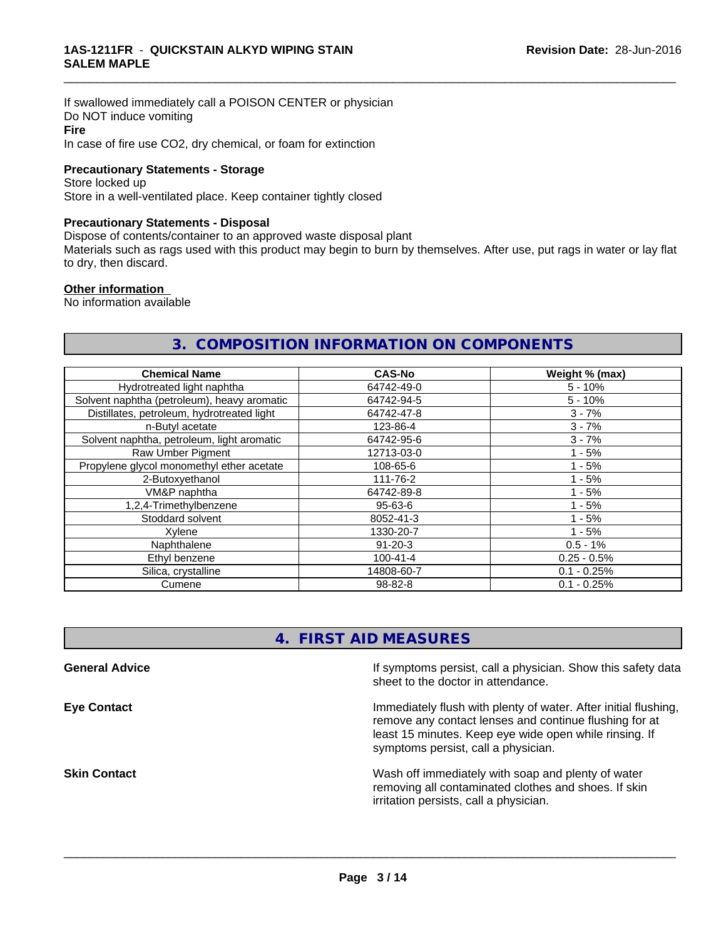If swallowed immediately call a POISON CENTER or physician Do NOT induce vomiting **Fire** In case of fire use CO2, dry chemical, or foam for extinction

#### **Precautionary Statements - Storage**

Store locked up Store in a well-ventilated place. Keep container tightly closed

#### **Precautionary Statements - Disposal**

Dispose of contents/container to an approved waste disposal plant

Materials such as rags used with this product may begin to burn by themselves. After use, put rags in water or lay flat to dry, then discard.

\_\_\_\_\_\_\_\_\_\_\_\_\_\_\_\_\_\_\_\_\_\_\_\_\_\_\_\_\_\_\_\_\_\_\_\_\_\_\_\_\_\_\_\_\_\_\_\_\_\_\_\_\_\_\_\_\_\_\_\_\_\_\_\_\_\_\_\_\_\_\_\_\_\_\_\_\_\_\_\_\_\_\_\_\_\_\_\_\_\_\_\_\_

#### **Other information**

No information available

# **3. COMPOSITION INFORMATION ON COMPONENTS**

| <b>Chemical Name</b>                        | <b>CAS-No</b>  | Weight % (max) |
|---------------------------------------------|----------------|----------------|
| Hydrotreated light naphtha                  | 64742-49-0     | $5 - 10%$      |
| Solvent naphtha (petroleum), heavy aromatic | 64742-94-5     | $5 - 10%$      |
| Distillates, petroleum, hydrotreated light  | 64742-47-8     | $3 - 7%$       |
| n-Butyl acetate                             | 123-86-4       | $3 - 7%$       |
| Solvent naphtha, petroleum, light aromatic  | 64742-95-6     | $3 - 7%$       |
| Raw Umber Pigment                           | 12713-03-0     | $1 - 5%$       |
| Propylene glycol monomethyl ether acetate   | 108-65-6       | $1 - 5%$       |
| 2-Butoxyethanol                             | 111-76-2       | $1 - 5%$       |
| VM&P naphtha                                | 64742-89-8     | $1 - 5%$       |
| 1,2,4-Trimethylbenzene                      | 95-63-6        | $1 - 5%$       |
| Stoddard solvent                            | 8052-41-3      | $1 - 5%$       |
| Xvlene                                      | 1330-20-7      | $1 - 5%$       |
| Naphthalene                                 | $91 - 20 - 3$  | $0.5 - 1%$     |
| Ethyl benzene                               | $100 - 41 - 4$ | $0.25 - 0.5%$  |
| Silica, crystalline                         | 14808-60-7     | $0.1 - 0.25%$  |
| Cumene                                      | 98-82-8        | $0.1 - 0.25%$  |

# **4. FIRST AID MEASURES**

| <b>General Advice</b> | If symptoms persist, call a physician. Show this safety data<br>sheet to the doctor in attendance.                                                                                                                         |
|-----------------------|----------------------------------------------------------------------------------------------------------------------------------------------------------------------------------------------------------------------------|
| Eye Contact           | Immediately flush with plenty of water. After initial flushing,<br>remove any contact lenses and continue flushing for at<br>least 15 minutes. Keep eye wide open while rinsing. If<br>symptoms persist, call a physician. |
| <b>Skin Contact</b>   | Wash off immediately with soap and plenty of water<br>removing all contaminated clothes and shoes. If skin<br>irritation persists, call a physician.                                                                       |
|                       |                                                                                                                                                                                                                            |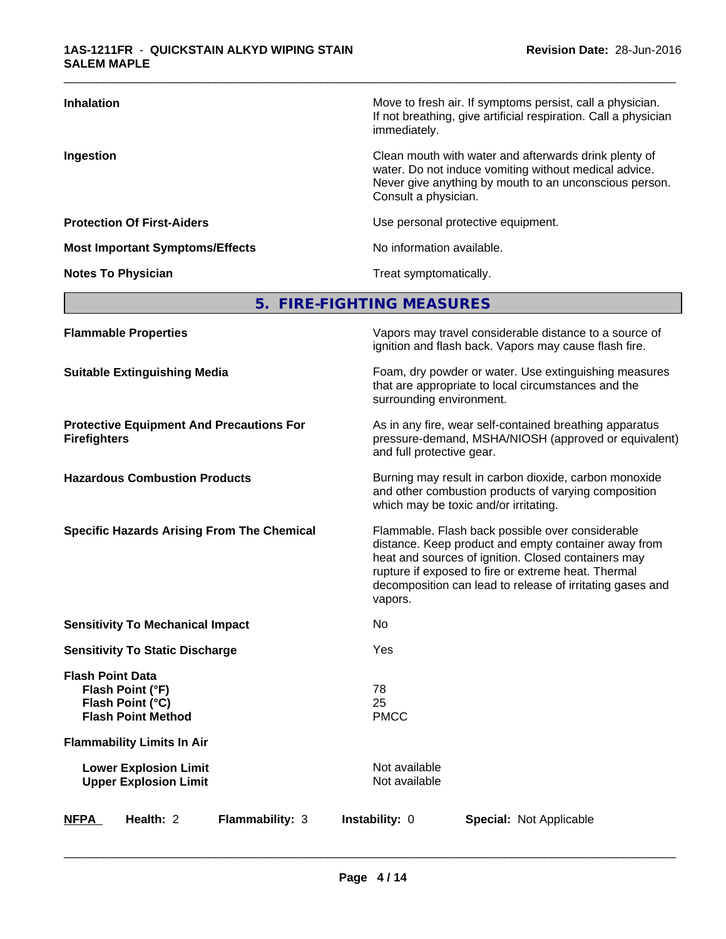| <b>Inhalation</b>                      | Move to fresh air. If symptoms persist, call a physician.<br>If not breathing, give artificial respiration. Call a physician<br>immediately.                                                     |
|----------------------------------------|--------------------------------------------------------------------------------------------------------------------------------------------------------------------------------------------------|
| Ingestion                              | Clean mouth with water and afterwards drink plenty of<br>water. Do not induce vomiting without medical advice.<br>Never give anything by mouth to an unconscious person.<br>Consult a physician. |
| <b>Protection Of First-Aiders</b>      | Use personal protective equipment.                                                                                                                                                               |
| <b>Most Important Symptoms/Effects</b> | No information available.                                                                                                                                                                        |
| <b>Notes To Physician</b>              | Treat symptomatically.                                                                                                                                                                           |

# **5. FIRE-FIGHTING MEASURES**

| Foam, dry powder or water. Use extinguishing measures<br><b>Suitable Extinguishing Media</b><br>that are appropriate to local circumstances and the<br>surrounding environment.<br><b>Protective Equipment And Precautions For</b><br>As in any fire, wear self-contained breathing apparatus<br>pressure-demand, MSHA/NIOSH (approved or equivalent)<br><b>Firefighters</b><br>and full protective gear.<br><b>Hazardous Combustion Products</b><br>Burning may result in carbon dioxide, carbon monoxide<br>and other combustion products of varying composition<br>which may be toxic and/or irritating.<br><b>Specific Hazards Arising From The Chemical</b><br>Flammable. Flash back possible over considerable<br>distance. Keep product and empty container away from<br>heat and sources of ignition. Closed containers may<br>rupture if exposed to fire or extreme heat. Thermal<br>decomposition can lead to release of irritating gases and<br>vapors.<br><b>Sensitivity To Mechanical Impact</b><br>No<br>Yes<br><b>Sensitivity To Static Discharge</b><br><b>Flash Point Data</b><br>78<br>Flash Point (°F)<br>25<br>Flash Point (°C)<br><b>PMCC</b><br><b>Flash Point Method</b><br><b>Flammability Limits In Air</b><br>Not available<br><b>Lower Explosion Limit</b><br><b>Upper Explosion Limit</b><br>Not available<br>Health: 2<br>Flammability: 3<br>Instability: 0<br><b>NFPA</b><br><b>Special: Not Applicable</b> | <b>Flammable Properties</b> | Vapors may travel considerable distance to a source of<br>ignition and flash back. Vapors may cause flash fire. |
|-------------------------------------------------------------------------------------------------------------------------------------------------------------------------------------------------------------------------------------------------------------------------------------------------------------------------------------------------------------------------------------------------------------------------------------------------------------------------------------------------------------------------------------------------------------------------------------------------------------------------------------------------------------------------------------------------------------------------------------------------------------------------------------------------------------------------------------------------------------------------------------------------------------------------------------------------------------------------------------------------------------------------------------------------------------------------------------------------------------------------------------------------------------------------------------------------------------------------------------------------------------------------------------------------------------------------------------------------------------------------------------------------------------------------------------------|-----------------------------|-----------------------------------------------------------------------------------------------------------------|
|                                                                                                                                                                                                                                                                                                                                                                                                                                                                                                                                                                                                                                                                                                                                                                                                                                                                                                                                                                                                                                                                                                                                                                                                                                                                                                                                                                                                                                           |                             |                                                                                                                 |
|                                                                                                                                                                                                                                                                                                                                                                                                                                                                                                                                                                                                                                                                                                                                                                                                                                                                                                                                                                                                                                                                                                                                                                                                                                                                                                                                                                                                                                           |                             |                                                                                                                 |
|                                                                                                                                                                                                                                                                                                                                                                                                                                                                                                                                                                                                                                                                                                                                                                                                                                                                                                                                                                                                                                                                                                                                                                                                                                                                                                                                                                                                                                           |                             |                                                                                                                 |
|                                                                                                                                                                                                                                                                                                                                                                                                                                                                                                                                                                                                                                                                                                                                                                                                                                                                                                                                                                                                                                                                                                                                                                                                                                                                                                                                                                                                                                           |                             |                                                                                                                 |
|                                                                                                                                                                                                                                                                                                                                                                                                                                                                                                                                                                                                                                                                                                                                                                                                                                                                                                                                                                                                                                                                                                                                                                                                                                                                                                                                                                                                                                           |                             |                                                                                                                 |
|                                                                                                                                                                                                                                                                                                                                                                                                                                                                                                                                                                                                                                                                                                                                                                                                                                                                                                                                                                                                                                                                                                                                                                                                                                                                                                                                                                                                                                           |                             |                                                                                                                 |
|                                                                                                                                                                                                                                                                                                                                                                                                                                                                                                                                                                                                                                                                                                                                                                                                                                                                                                                                                                                                                                                                                                                                                                                                                                                                                                                                                                                                                                           |                             |                                                                                                                 |
|                                                                                                                                                                                                                                                                                                                                                                                                                                                                                                                                                                                                                                                                                                                                                                                                                                                                                                                                                                                                                                                                                                                                                                                                                                                                                                                                                                                                                                           |                             |                                                                                                                 |
|                                                                                                                                                                                                                                                                                                                                                                                                                                                                                                                                                                                                                                                                                                                                                                                                                                                                                                                                                                                                                                                                                                                                                                                                                                                                                                                                                                                                                                           |                             |                                                                                                                 |
|                                                                                                                                                                                                                                                                                                                                                                                                                                                                                                                                                                                                                                                                                                                                                                                                                                                                                                                                                                                                                                                                                                                                                                                                                                                                                                                                                                                                                                           |                             |                                                                                                                 |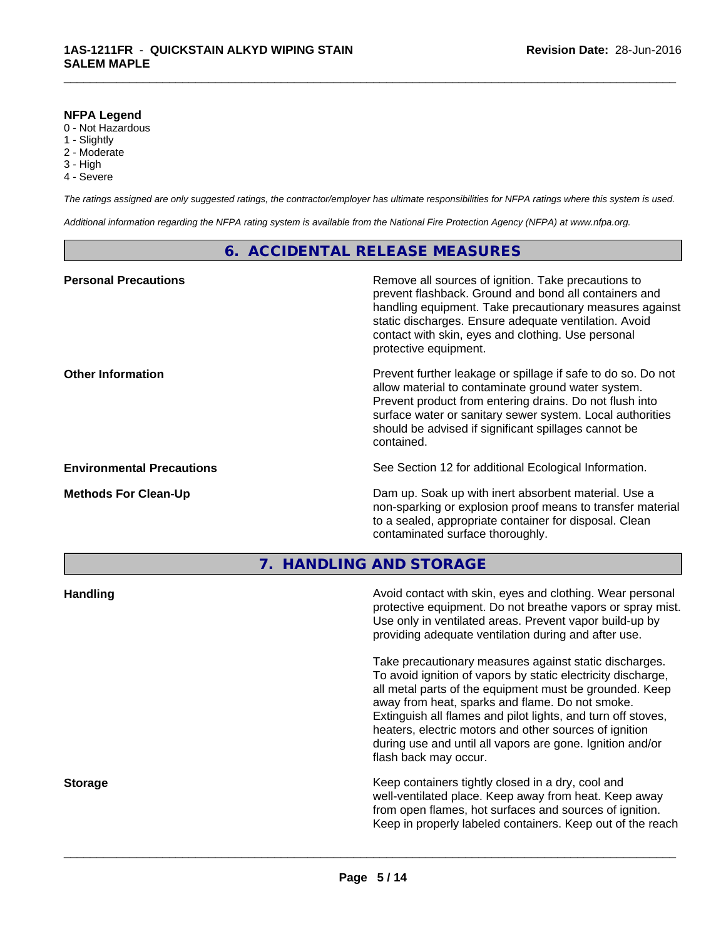#### **NFPA Legend**

- 0 Not Hazardous
- 1 Slightly
- 2 Moderate
- 3 High
- 4 Severe

*The ratings assigned are only suggested ratings, the contractor/employer has ultimate responsibilities for NFPA ratings where this system is used.*

\_\_\_\_\_\_\_\_\_\_\_\_\_\_\_\_\_\_\_\_\_\_\_\_\_\_\_\_\_\_\_\_\_\_\_\_\_\_\_\_\_\_\_\_\_\_\_\_\_\_\_\_\_\_\_\_\_\_\_\_\_\_\_\_\_\_\_\_\_\_\_\_\_\_\_\_\_\_\_\_\_\_\_\_\_\_\_\_\_\_\_\_\_

*Additional information regarding the NFPA rating system is available from the National Fire Protection Agency (NFPA) at www.nfpa.org.*

# **6. ACCIDENTAL RELEASE MEASURES**

| <b>Personal Precautions</b>      | Remove all sources of ignition. Take precautions to<br>prevent flashback. Ground and bond all containers and<br>handling equipment. Take precautionary measures against<br>static discharges. Ensure adequate ventilation. Avoid<br>contact with skin, eyes and clothing. Use personal<br>protective equipment.  |
|----------------------------------|------------------------------------------------------------------------------------------------------------------------------------------------------------------------------------------------------------------------------------------------------------------------------------------------------------------|
| <b>Other Information</b>         | Prevent further leakage or spillage if safe to do so. Do not<br>allow material to contaminate ground water system.<br>Prevent product from entering drains. Do not flush into<br>surface water or sanitary sewer system. Local authorities<br>should be advised if significant spillages cannot be<br>contained. |
| <b>Environmental Precautions</b> | See Section 12 for additional Ecological Information.                                                                                                                                                                                                                                                            |
| <b>Methods For Clean-Up</b>      | Dam up. Soak up with inert absorbent material. Use a<br>non-sparking or explosion proof means to transfer material<br>to a sealed, appropriate container for disposal. Clean<br>contaminated surface thoroughly.                                                                                                 |
|                                  |                                                                                                                                                                                                                                                                                                                  |

**7. HANDLING AND STORAGE**

| <b>Handling</b> | Avoid contact with skin, eyes and clothing. Wear personal<br>protective equipment. Do not breathe vapors or spray mist.<br>Use only in ventilated areas. Prevent vapor build-up by<br>providing adequate ventilation during and after use.                                                                                                                                                                                                           |
|-----------------|------------------------------------------------------------------------------------------------------------------------------------------------------------------------------------------------------------------------------------------------------------------------------------------------------------------------------------------------------------------------------------------------------------------------------------------------------|
|                 | Take precautionary measures against static discharges.<br>To avoid ignition of vapors by static electricity discharge,<br>all metal parts of the equipment must be grounded. Keep<br>away from heat, sparks and flame. Do not smoke.<br>Extinguish all flames and pilot lights, and turn off stoves,<br>heaters, electric motors and other sources of ignition<br>during use and until all vapors are gone. Ignition and/or<br>flash back may occur. |
| <b>Storage</b>  | Keep containers tightly closed in a dry, cool and<br>well-ventilated place. Keep away from heat. Keep away<br>from open flames, hot surfaces and sources of ignition.<br>Keep in properly labeled containers. Keep out of the reach                                                                                                                                                                                                                  |
|                 |                                                                                                                                                                                                                                                                                                                                                                                                                                                      |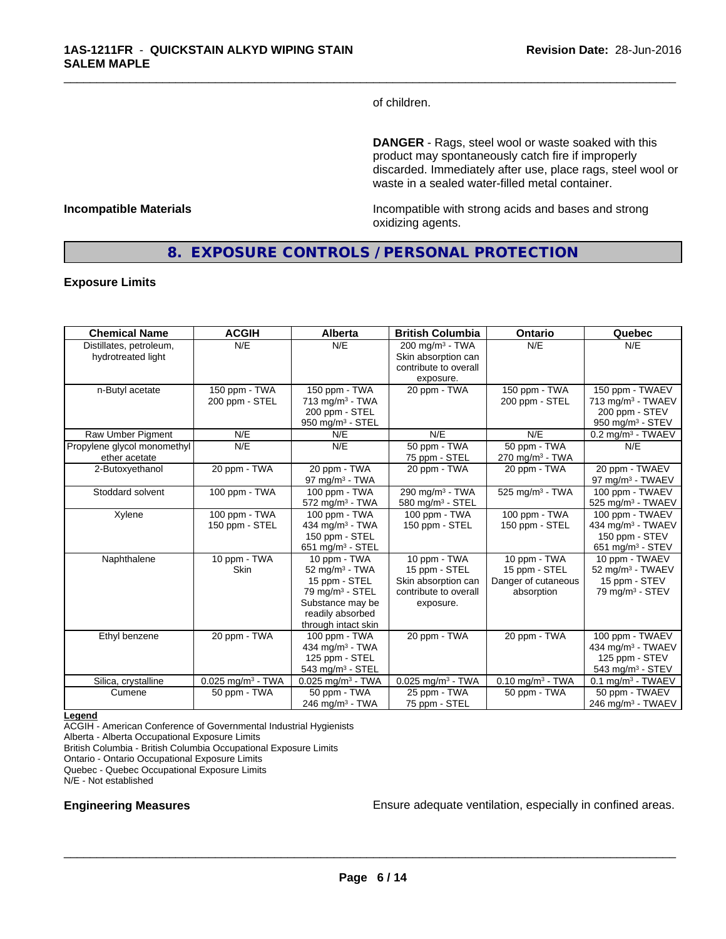of children.

\_\_\_\_\_\_\_\_\_\_\_\_\_\_\_\_\_\_\_\_\_\_\_\_\_\_\_\_\_\_\_\_\_\_\_\_\_\_\_\_\_\_\_\_\_\_\_\_\_\_\_\_\_\_\_\_\_\_\_\_\_\_\_\_\_\_\_\_\_\_\_\_\_\_\_\_\_\_\_\_\_\_\_\_\_\_\_\_\_\_\_\_\_

**DANGER** - Rags, steel wool or waste soaked with this product may spontaneously catch fire if improperly discarded. Immediately after use, place rags, steel wool or waste in a sealed water-filled metal container.

**Incompatible Materials Incompatible with strong acids and bases and strong** oxidizing agents.

# **8. EXPOSURE CONTROLS / PERSONAL PROTECTION**

#### **Exposure Limits**

| <b>Chemical Name</b>                          | <b>ACGIH</b>                    | <b>Alberta</b>                                                                                                                                           | <b>British Columbia</b>                                                                    | Ontario                                                            | Quebec                                                                                             |
|-----------------------------------------------|---------------------------------|----------------------------------------------------------------------------------------------------------------------------------------------------------|--------------------------------------------------------------------------------------------|--------------------------------------------------------------------|----------------------------------------------------------------------------------------------------|
| Distillates, petroleum,<br>hydrotreated light | N/E                             | N/E                                                                                                                                                      | $200 \text{ mg/m}^3$ - TWA<br>Skin absorption can<br>contribute to overall                 | N/E                                                                | N/E                                                                                                |
| n-Butyl acetate                               | 150 ppm - TWA<br>200 ppm - STEL | 150 ppm - TWA<br>$713$ mg/m <sup>3</sup> - TWA<br>200 ppm - STEL<br>950 mg/m $3 -$ STEL                                                                  | exposure.<br>20 ppm - TWA                                                                  | 150 ppm - TWA<br>200 ppm - STEL                                    | 150 ppm - TWAEV<br>713 mg/m <sup>3</sup> - TWAEV<br>200 ppm - STEV<br>950 mg/m $3 -$ STEV          |
| Raw Umber Pigment                             | N/E                             | N/E                                                                                                                                                      | N/E                                                                                        | N/E                                                                | $0.2$ mg/m <sup>3</sup> - TWAEV                                                                    |
| Propylene glycol monomethyl<br>ether acetate  | N/E                             | N/E                                                                                                                                                      | 50 ppm - TWA<br>75 ppm - STEL                                                              | 50 ppm - TWA<br>$270$ mg/m <sup>3</sup> - TWA                      | N/E                                                                                                |
| 2-Butoxyethanol                               | 20 ppm - TWA                    | 20 ppm - TWA<br>97 mg/m $3$ - TWA                                                                                                                        | 20 ppm - TWA                                                                               | 20 ppm - TWA                                                       | 20 ppm - TWAEV<br>97 mg/m $3$ - TWAEV                                                              |
| Stoddard solvent                              | 100 ppm - TWA                   | 100 ppm - TWA<br>$572$ mg/m <sup>3</sup> - TWA                                                                                                           | 290 mg/m $3$ - TWA<br>580 mg/m <sup>3</sup> - STEL                                         | $525$ mg/m <sup>3</sup> - TWA                                      | 100 ppm - TWAEV<br>525 mg/m <sup>3</sup> - TWAEV                                                   |
| Xylene                                        | 100 ppm - TWA<br>150 ppm - STEL | 100 ppm - TWA<br>434 mg/m <sup>3</sup> - TWA<br>150 ppm - STEL<br>651 mg/m $3 -$ STEL                                                                    | 100 ppm - TWA<br>150 ppm - STEL                                                            | 100 ppm - TWA<br>150 ppm - STEL                                    | 100 ppm - TWAEV<br>434 mg/m <sup>3</sup> - TWAEV<br>150 ppm - STEV<br>651 mg/m <sup>3</sup> - STEV |
| Naphthalene                                   | 10 ppm - TWA<br><b>Skin</b>     | 10 ppm - TWA<br>$52 \text{ mg/m}^3$ - TWA<br>15 ppm - STEL<br>79 mg/m <sup>3</sup> - STEL<br>Substance may be<br>readily absorbed<br>through intact skin | 10 ppm - TWA<br>15 ppm - STEL<br>Skin absorption can<br>contribute to overall<br>exposure. | 10 ppm - TWA<br>15 ppm - STEL<br>Danger of cutaneous<br>absorption | 10 ppm - TWAEV<br>52 mg/m <sup>3</sup> - TWAEV<br>15 ppm - STEV<br>79 mg/m $3 -$ STEV              |
| Ethyl benzene                                 | 20 ppm - TWA                    | 100 ppm - TWA<br>434 mg/m <sup>3</sup> - TWA<br>125 ppm - STEL<br>543 mg/m <sup>3</sup> - STEL                                                           | 20 ppm - TWA                                                                               | 20 ppm - TWA                                                       | 100 ppm - TWAEV<br>434 mg/m <sup>3</sup> - TWAEV<br>125 ppm - STEV<br>543 mg/m <sup>3</sup> - STEV |
| Silica, crystalline                           | $0.025$ mg/m <sup>3</sup> - TWA | $0.025$ mg/m <sup>3</sup> - TWA                                                                                                                          | $0.025$ mg/m <sup>3</sup> - TWA                                                            | $0.10$ mg/m <sup>3</sup> - TWA                                     | $0.1$ mg/m <sup>3</sup> - TWAEV                                                                    |
| Cumene                                        | 50 ppm - TWA                    | 50 ppm - TWA<br>$246$ mg/m <sup>3</sup> - TWA                                                                                                            | 25 ppm - TWA<br>75 ppm - STEL                                                              | 50 ppm - TWA                                                       | 50 ppm - TWAEV<br>246 mg/m <sup>3</sup> - TWAEV                                                    |

#### **Legend**

ACGIH - American Conference of Governmental Industrial Hygienists Alberta - Alberta Occupational Exposure Limits British Columbia - British Columbia Occupational Exposure Limits Ontario - Ontario Occupational Exposure Limits Quebec - Quebec Occupational Exposure Limits

N/E - Not established

**Engineering Measures Ensure adequate ventilation, especially in confined areas.**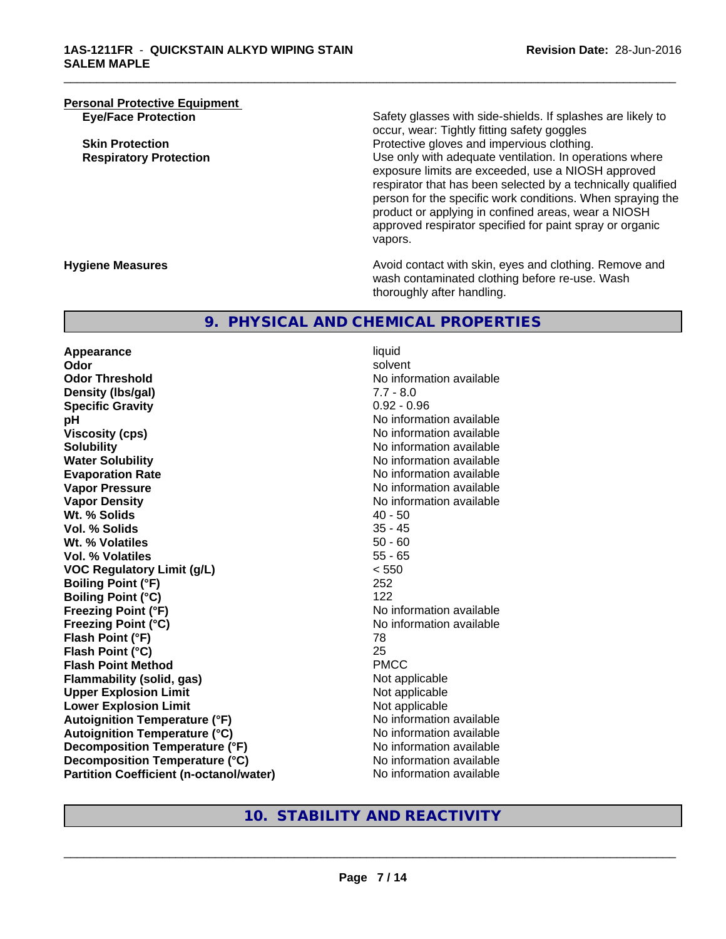**Personal Protective Equipment**<br> **Eye/Face Protection** 

Safety glasses with side-shields. If splashes are likely to occur, wear: Tightly fitting safety goggles **Skin Protection Protection Protective gloves and impervious clothing. Respiratory Protection Number 1** (Use only with adequate ventilation. In operations where exposure limits are exceeded, use a NIOSH approved respirator that has been selected by a technically qualified person for the specific work conditions. When spraying the product or applying in confined areas, wear a NIOSH approved respirator specified for paint spray or organic vapors.

**Hygiene Measures Avoid contact with skin, eyes and clothing. Remove and Avoid contact with skin, eyes and clothing. Remove and Avoid contact with skin, eyes and clothing. Remove and** wash contaminated clothing before re-use. Wash thoroughly after handling.

# **9. PHYSICAL AND CHEMICAL PROPERTIES**

**Appearance** liquid<br> **Appearance** liquid<br> **Odor** solve **Odor** solvent **Odor Threshold No information available No information available Density (Ibs/gal)** 7.7 - 8.0<br> **Specific Gravity** 3.0 2.096 **Specific Gravity pH** No information available **Viscosity (cps)** No information available in the Viscosity (cps) **Solubility No information available No information available Water Solubility** No information available **Evaporation Rate No information available No information available Vapor Pressure** No information available No information available **Vapor Density**<br> **We Solids** (*We Solids* ) and the setting of the setting of the setting of the setting of the setting of the setting of the setting of the setting of the setting of the setting of the setting of the setti **Wt. % Solids** 40 - 50<br> **Vol. % Solids** 35 - 45 **Vol. % Solids Wt. % Volatiles 50 - 60<br>
<b>Vol. % Volatiles** 55 - 65 **Vol. % Volatiles VOC Regulatory Limit (g/L)** < 550 **Boiling Point (°F)** 252 **Boiling Point (°C)** 122 **Freezing Point (°F)** No information available **Freezing Point (°C)** No information available **Flash Point (°F)** 78 **Flash Point (°C)** 25 **Flash Point Method Flammability (solid, gas)** Not applicable **Upper Explosion Limit**<br> **Lower Explosion Limit**<br> **Lower Explosion Limit Lower Explosion Limit Autoignition Temperature (°F)** No information available **Autoignition Temperature (°C)** No information available **Decomposition Temperature (°F)** No information available **Decomposition Temperature (°C)** No information available **Partition Coefficient (n-octanol/water)** No information available

\_\_\_\_\_\_\_\_\_\_\_\_\_\_\_\_\_\_\_\_\_\_\_\_\_\_\_\_\_\_\_\_\_\_\_\_\_\_\_\_\_\_\_\_\_\_\_\_\_\_\_\_\_\_\_\_\_\_\_\_\_\_\_\_\_\_\_\_\_\_\_\_\_\_\_\_\_\_\_\_\_\_\_\_\_\_\_\_\_\_\_\_\_

# **10. STABILITY AND REACTIVITY**

**Page 7 / 14**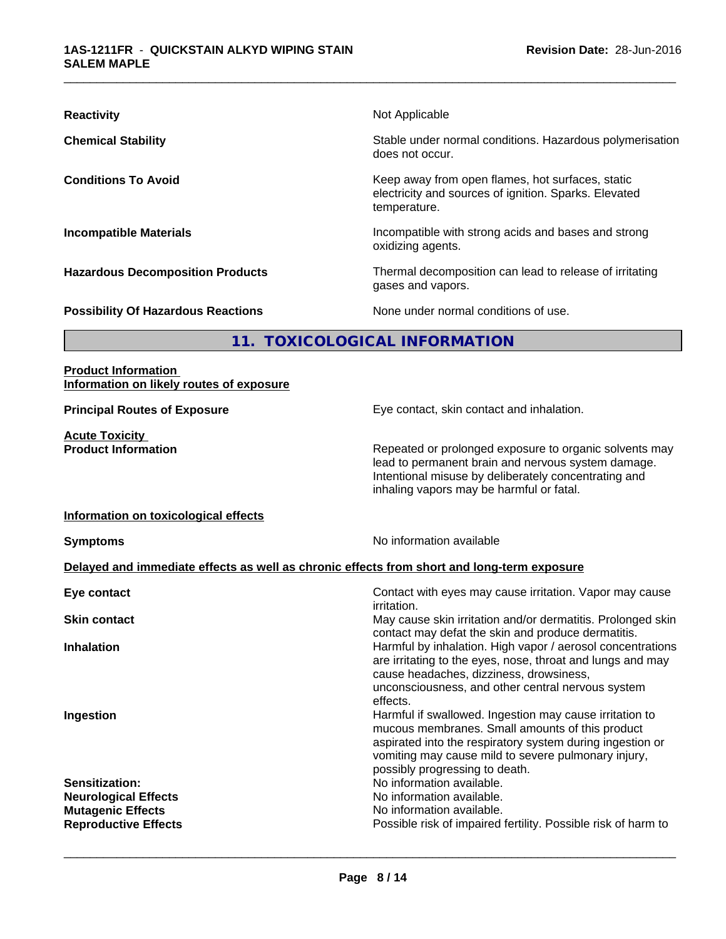| <b>Reactivity</b>                         | Not Applicable                                                                                                            |
|-------------------------------------------|---------------------------------------------------------------------------------------------------------------------------|
| <b>Chemical Stability</b>                 | Stable under normal conditions. Hazardous polymerisation<br>does not occur.                                               |
| <b>Conditions To Avoid</b>                | Keep away from open flames, hot surfaces, static<br>electricity and sources of ignition. Sparks. Elevated<br>temperature. |
| <b>Incompatible Materials</b>             | Incompatible with strong acids and bases and strong<br>oxidizing agents.                                                  |
| <b>Hazardous Decomposition Products</b>   | Thermal decomposition can lead to release of irritating<br>gases and vapors.                                              |
| <b>Possibility Of Hazardous Reactions</b> | None under normal conditions of use.                                                                                      |
|                                           | 11. TOXICOLOGICAL INFORMATION                                                                                             |
| <b>Product Information</b>                |                                                                                                                           |

# **Information on likely routes of exposure**

**Acute Toxicity** 

**Principal Routes of Exposure Exposure** Eye contact, skin contact and inhalation.

**Product Information Repeated or prolonged exposure to organic solvents may** lead to permanent brain and nervous system damage. Intentional misuse by deliberately concentrating and inhaling vapors may be harmful or fatal.

#### **Information on toxicological effects**

**Symptoms** No information available

### **Delayed and immediate effects as well as chronic effects from short and long-term exposure**

| Eye contact                 | Contact with eyes may cause irritation. Vapor may cause<br><i>irritation.</i>                                                                                                                                                                                    |
|-----------------------------|------------------------------------------------------------------------------------------------------------------------------------------------------------------------------------------------------------------------------------------------------------------|
| <b>Skin contact</b>         | May cause skin irritation and/or dermatitis. Prolonged skin<br>contact may defat the skin and produce dermatitis.                                                                                                                                                |
| <b>Inhalation</b>           | Harmful by inhalation. High vapor / aerosol concentrations<br>are irritating to the eyes, nose, throat and lungs and may<br>cause headaches, dizziness, drowsiness,<br>unconsciousness, and other central nervous system<br>effects.                             |
| Ingestion                   | Harmful if swallowed. Ingestion may cause irritation to<br>mucous membranes. Small amounts of this product<br>aspirated into the respiratory system during ingestion or<br>vomiting may cause mild to severe pulmonary injury,<br>possibly progressing to death. |
| Sensitization:              | No information available.                                                                                                                                                                                                                                        |
| <b>Neurological Effects</b> | No information available.                                                                                                                                                                                                                                        |
| <b>Mutagenic Effects</b>    | No information available.                                                                                                                                                                                                                                        |
| <b>Reproductive Effects</b> | Possible risk of impaired fertility. Possible risk of harm to                                                                                                                                                                                                    |
|                             |                                                                                                                                                                                                                                                                  |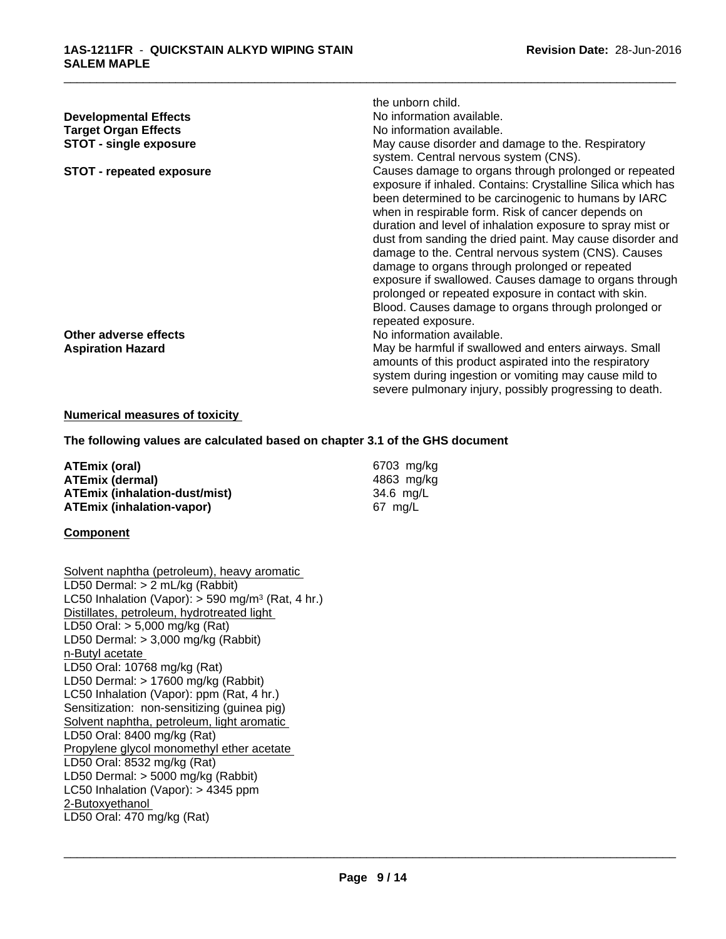|                                                                                                                                                                                                                                                                                                                                                                                                                                                                                                                                                                                                                                                                                    | the unborn child.                                                                          |
|------------------------------------------------------------------------------------------------------------------------------------------------------------------------------------------------------------------------------------------------------------------------------------------------------------------------------------------------------------------------------------------------------------------------------------------------------------------------------------------------------------------------------------------------------------------------------------------------------------------------------------------------------------------------------------|--------------------------------------------------------------------------------------------|
| <b>Developmental Effects</b>                                                                                                                                                                                                                                                                                                                                                                                                                                                                                                                                                                                                                                                       | No information available.                                                                  |
| <b>Target Organ Effects</b>                                                                                                                                                                                                                                                                                                                                                                                                                                                                                                                                                                                                                                                        | No information available.                                                                  |
| <b>STOT - single exposure</b>                                                                                                                                                                                                                                                                                                                                                                                                                                                                                                                                                                                                                                                      | May cause disorder and damage to the. Respiratory<br>system. Central nervous system (CNS). |
| Causes damage to organs through prolonged or repeated<br><b>STOT - repeated exposure</b><br>exposure if inhaled. Contains: Crystalline Silica which has<br>been determined to be carcinogenic to humans by IARC<br>when in respirable form. Risk of cancer depends on<br>duration and level of inhalation exposure to spray mist or<br>dust from sanding the dried paint. May cause disorder and<br>damage to the. Central nervous system (CNS). Causes<br>damage to organs through prolonged or repeated<br>exposure if swallowed. Causes damage to organs through<br>prolonged or repeated exposure in contact with skin.<br>Blood. Causes damage to organs through prolonged or |                                                                                            |
| Other adverse effects                                                                                                                                                                                                                                                                                                                                                                                                                                                                                                                                                                                                                                                              | repeated exposure.<br>No information available.                                            |
| <b>Aspiration Hazard</b>                                                                                                                                                                                                                                                                                                                                                                                                                                                                                                                                                                                                                                                           | May be harmful if swallowed and enters airways. Small                                      |
|                                                                                                                                                                                                                                                                                                                                                                                                                                                                                                                                                                                                                                                                                    | amounts of this product aspirated into the respiratory                                     |
|                                                                                                                                                                                                                                                                                                                                                                                                                                                                                                                                                                                                                                                                                    | system during ingestion or vomiting may cause mild to                                      |
|                                                                                                                                                                                                                                                                                                                                                                                                                                                                                                                                                                                                                                                                                    | severe pulmonary injury, possibly progressing to death.                                    |

### **Numerical measures of toxicity**

# **The following values are calculated based on chapter 3.1 of the GHS document**

**ATEmix (oral)** 6703 mg/kg<br> **ATEmix (dermal)** 6703 mg/kg<br>
4863 mg/kg **ATEmix (dermal)** 4863 mg/k<br> **ATEmix (inhalation-dust/mist)** 4863 mg/L **ATEmix (inhalation-dust/mist)** 34.6 mg/<br>**ATEmix (inhalation-vapor)** 67 mg/L **ATEmix** (inhalation-vapor)

#### **Component**

| Solvent naphtha (petroleum), heavy aromatic                     |
|-----------------------------------------------------------------|
| LD50 Dermal: $> 2$ mL/kg (Rabbit)                               |
| LC50 Inhalation (Vapor): $>$ 590 mg/m <sup>3</sup> (Rat, 4 hr.) |
| Distillates, petroleum, hydrotreated light                      |
| LD50 Oral: $> 5,000$ mg/kg (Rat)                                |
| LD50 Dermal: $> 3,000$ mg/kg (Rabbit)                           |
| n-Butyl acetate                                                 |
| LD50 Oral: 10768 mg/kg (Rat)                                    |
| LD50 Dermal: $> 17600$ mg/kg (Rabbit)                           |
| LC50 Inhalation (Vapor): ppm (Rat, 4 hr.)                       |
| Sensitization: non-sensitizing (guinea pig)                     |
| Solvent naphtha, petroleum, light aromatic                      |
| LD50 Oral: 8400 mg/kg (Rat)                                     |
| Propylene glycol monomethyl ether acetate                       |
| LD50 Oral: 8532 mg/kg (Rat)                                     |
| LD50 Dermal: $>$ 5000 mg/kg (Rabbit)                            |
| LC50 Inhalation (Vapor): $>$ 4345 ppm                           |
| 2-Butoxyethanol                                                 |
| LD50 Oral: 470 mg/kg (Rat)                                      |
|                                                                 |
|                                                                 |
|                                                                 |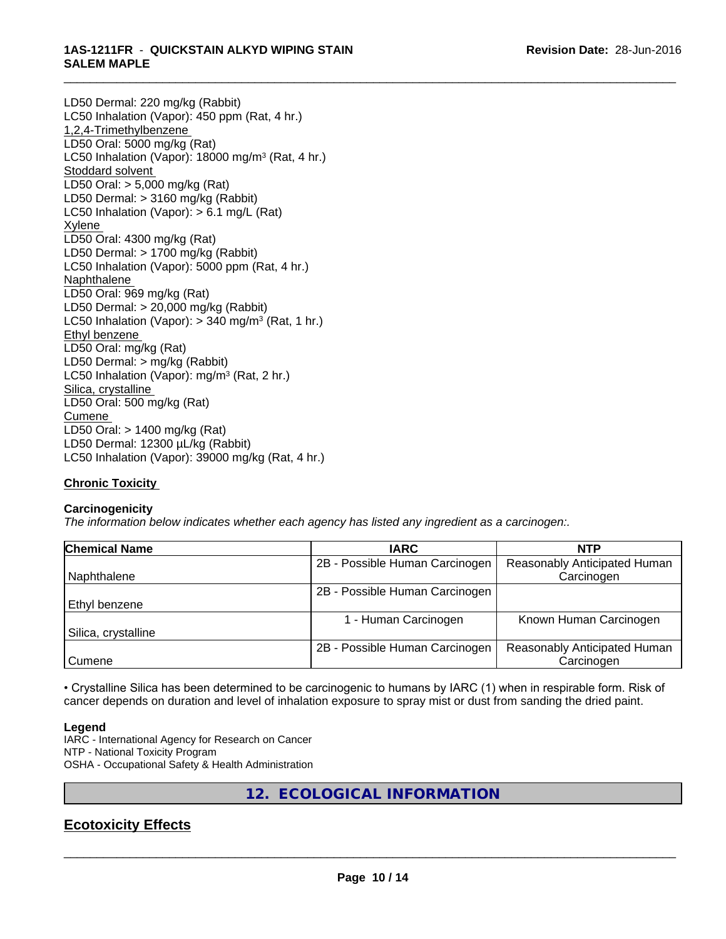#### \_\_\_\_\_\_\_\_\_\_\_\_\_\_\_\_\_\_\_\_\_\_\_\_\_\_\_\_\_\_\_\_\_\_\_\_\_\_\_\_\_\_\_\_\_\_\_\_\_\_\_\_\_\_\_\_\_\_\_\_\_\_\_\_\_\_\_\_\_\_\_\_\_\_\_\_\_\_\_\_\_\_\_\_\_\_\_\_\_\_\_\_\_ **1AS-1211FR** - **QUICKSTAIN ALKYD WIPING STAIN SALEM MAPLE**

LD50 Dermal: 220 mg/kg (Rabbit) LC50 Inhalation (Vapor): 450 ppm (Rat, 4 hr.) 1,2,4-Trimethylbenzene LD50 Oral: 5000 mg/kg (Rat) LC50 Inhalation (Vapor): 18000 mg/m<sup>3</sup> (Rat, 4 hr.) Stoddard solvent LD50 Oral: > 5,000 mg/kg (Rat) LD50 Dermal: > 3160 mg/kg (Rabbit) LC50 Inhalation (Vapor): > 6.1 mg/L (Rat) Xylene LD50 Oral: 4300 mg/kg (Rat) LD50 Dermal: > 1700 mg/kg (Rabbit) LC50 Inhalation (Vapor): 5000 ppm (Rat, 4 hr.) Naphthalene LD50 Oral: 969 mg/kg (Rat) LD50 Dermal: > 20,000 mg/kg (Rabbit) LC50 Inhalation (Vapor): > 340 mg/m<sup>3</sup> (Rat, 1 hr.) Ethyl benzene LD50 Oral: mg/kg (Rat) LD50 Dermal: > mg/kg (Rabbit) LC50 Inhalation (Vapor): mg/m<sup>3</sup> (Rat, 2 hr.) Silica, crystalline LD50 Oral: 500 mg/kg (Rat) **Cumene** LD50 Oral: > 1400 mg/kg (Rat) LD50 Dermal: 12300 µL/kg (Rabbit) LC50 Inhalation (Vapor): 39000 mg/kg (Rat, 4 hr.)

# **Chronic Toxicity**

# **Carcinogenicity**

*The information below indicateswhether each agency has listed any ingredient as a carcinogen:.*

| <b>Chemical Name</b> | <b>IARC</b>                    | <b>NTP</b>                   |
|----------------------|--------------------------------|------------------------------|
|                      | 2B - Possible Human Carcinogen | Reasonably Anticipated Human |
| Naphthalene          |                                | Carcinogen                   |
|                      | 2B - Possible Human Carcinogen |                              |
| Ethyl benzene        |                                |                              |
|                      | - Human Carcinogen             | Known Human Carcinogen       |
| Silica, crystalline  |                                |                              |
|                      | 2B - Possible Human Carcinogen | Reasonably Anticipated Human |
| Cumene               |                                | Carcinogen                   |

• Crystalline Silica has been determined to be carcinogenic to humans by IARC (1) when in respirable form. Risk of cancer depends on duration and level of inhalation exposure to spray mist or dust from sanding the dried paint.

# **Legend**

IARC - International Agency for Research on Cancer NTP - National Toxicity Program OSHA - Occupational Safety & Health Administration

**12. ECOLOGICAL INFORMATION**

# **Ecotoxicity Effects**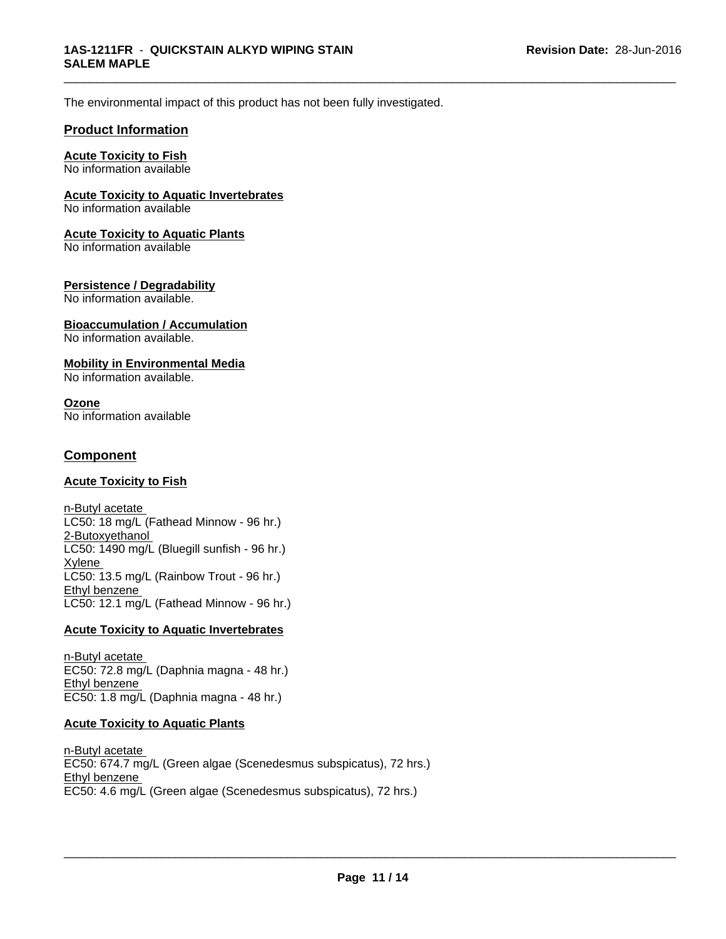The environmental impact of this product has not been fully investigated.

# **Product Information**

# **Acute Toxicity to Fish**

No information available

# **Acute Toxicity to Aquatic Invertebrates**

No information available

## **Acute Toxicity to Aquatic Plants**

No information available

### **Persistence / Degradability**

No information available.

#### **Bioaccumulation / Accumulation** No information available.

# **Mobility in Environmental Media**

No information available.

#### **Ozone** No information available

# **Component**

# **Acute Toxicity to Fish**

n-Butyl acetate LC50: 18 mg/L (Fathead Minnow - 96 hr.) 2-Butoxyethanol LC50: 1490 mg/L (Bluegill sunfish - 96 hr.) Xylene LC50: 13.5 mg/L (Rainbow Trout - 96 hr.) Ethyl benzene LC50: 12.1 mg/L (Fathead Minnow - 96 hr.)

# **Acute Toxicity to Aquatic Invertebrates**

n-Butyl acetate EC50: 72.8 mg/L (Daphnia magna - 48 hr.) Ethyl benzene EC50: 1.8 mg/L (Daphnia magna - 48 hr.)

# **Acute Toxicity to Aquatic Plants**

n-Butyl acetate EC50: 674.7 mg/L (Green algae (Scenedesmus subspicatus), 72 hrs.) Ethyl benzene EC50: 4.6 mg/L (Green algae (Scenedesmus subspicatus), 72 hrs.)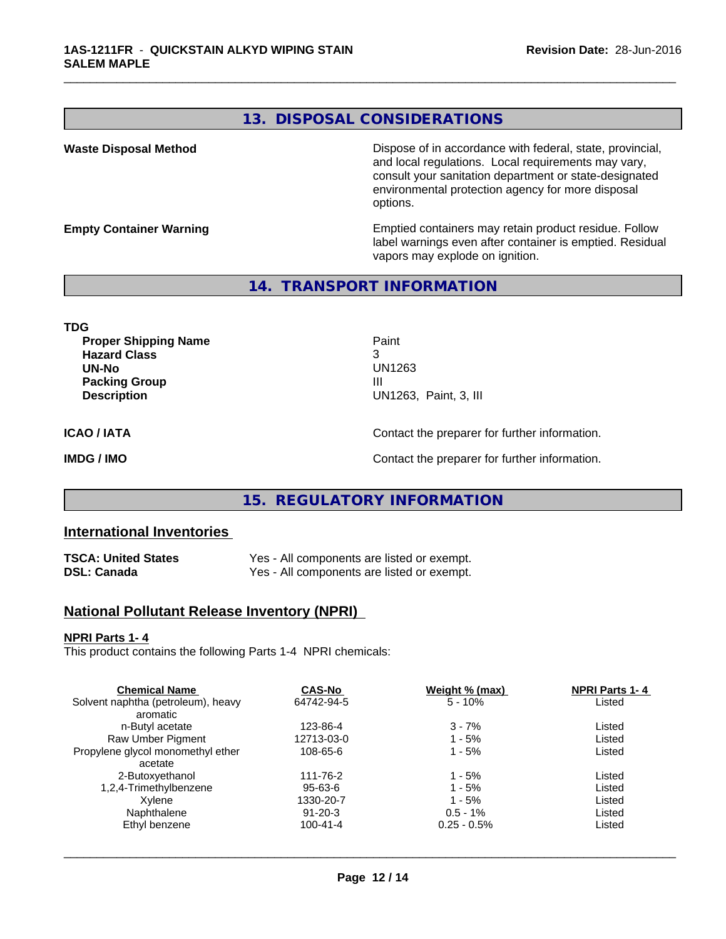# **13. DISPOSAL CONSIDERATIONS**

\_\_\_\_\_\_\_\_\_\_\_\_\_\_\_\_\_\_\_\_\_\_\_\_\_\_\_\_\_\_\_\_\_\_\_\_\_\_\_\_\_\_\_\_\_\_\_\_\_\_\_\_\_\_\_\_\_\_\_\_\_\_\_\_\_\_\_\_\_\_\_\_\_\_\_\_\_\_\_\_\_\_\_\_\_\_\_\_\_\_\_\_\_

**Waste Disposal Method Dispose of in accordance with federal, state, provincial,** and local regulations. Local requirements may vary, consult your sanitation department or state-designated environmental protection agency for more disposal options.

**Empty Container Warning <b>Emptied** Containers may retain product residue. Follow label warnings even after container is emptied. Residual vapors may explode on ignition.

## **14. TRANSPORT INFORMATION**

**TDG Proper Shipping Name Paint Hazard Class** 3 **UN-No** UN1263 **Packing Group III Description** UN1263, Paint, 3, III **ICAO / IATA** Contact the preparer for further information. **IMDG / IMO IMO Contact the preparer for further information.** 

# **15. REGULATORY INFORMATION**

# **International Inventories**

| TSCA: United States | Yes - All components are listed or exempt. |
|---------------------|--------------------------------------------|
| DSL: Canada         | Yes - All components are listed or exempt. |

# **National Pollutant Release Inventory (NPRI)**

#### **NPRI Parts 1- 4**

This product contains the following Parts 1-4 NPRI chemicals:

|                | Listed    |  |
|----------------|-----------|--|
|                |           |  |
| $3 - 7%$       | Listed    |  |
| $1 - 5%$       | Listed    |  |
| 1 - 5%         | Listed    |  |
|                |           |  |
| $1 - 5%$       | Listed    |  |
| $1 - 5%$       | Listed    |  |
| $1 - 5%$       | Listed    |  |
| $0.5 - 1\%$    | Listed    |  |
| $0.25 - 0.5\%$ | Listed    |  |
|                | $5 - 10%$ |  |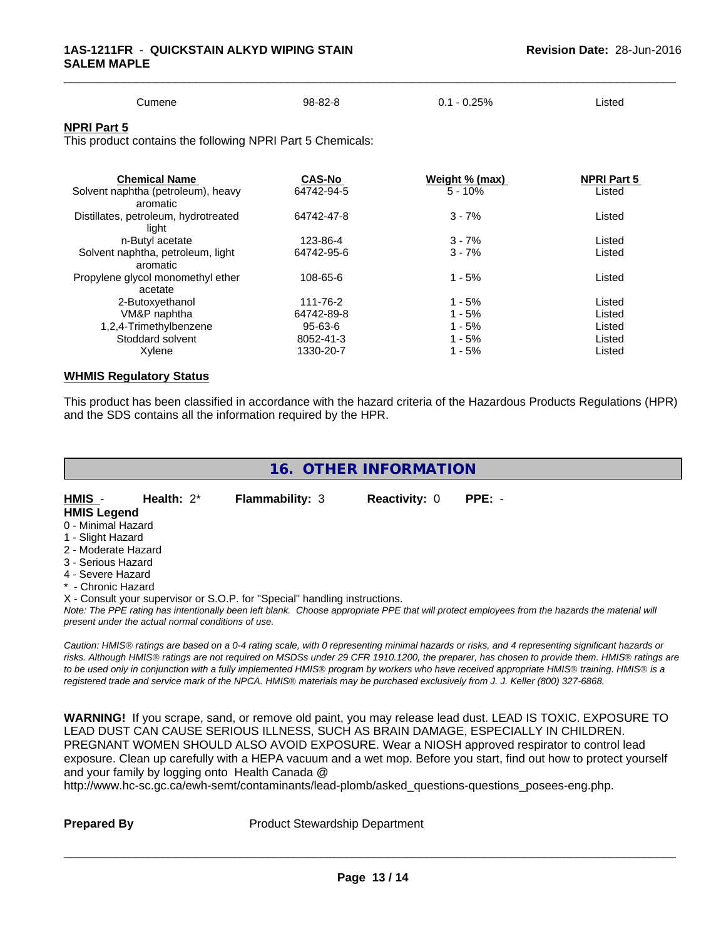| Cumene<br>$\sim$ $\sim$ | 98-82-8 | $-0.25%$<br>υ. | Listed |  |
|-------------------------|---------|----------------|--------|--|

#### **NPRI Part 5**

This product contains the following NPRI Part 5 Chemicals:

| <b>Chemical Name</b>                 | <b>CAS-No</b> | <u>Weight % (max)</u> | <b>NPRI Part 5</b> |  |
|--------------------------------------|---------------|-----------------------|--------------------|--|
| Solvent naphtha (petroleum), heavy   | 64742-94-5    | $5 - 10%$             | Listed             |  |
| aromatic                             |               |                       |                    |  |
| Distillates, petroleum, hydrotreated | 64742-47-8    | $3 - 7%$              | Listed             |  |
| light                                |               |                       |                    |  |
| n-Butyl acetate                      | 123-86-4      | $3 - 7%$              | Listed             |  |
| Solvent naphtha, petroleum, light    | 64742-95-6    | $3 - 7%$              | Listed             |  |
| aromatic                             |               |                       |                    |  |
| Propylene glycol monomethyl ether    | 108-65-6      | $1 - 5%$              | Listed             |  |
| acetate                              |               |                       |                    |  |
| 2-Butoxyethanol                      | 111-76-2      | $1 - 5%$              | Listed             |  |
| VM&P naphtha                         | 64742-89-8    | $1 - 5%$              | Listed             |  |
| 1,2,4-Trimethylbenzene               | 95-63-6       | $1 - 5%$              | Listed             |  |
| Stoddard solvent                     | 8052-41-3     | $1 - 5%$              | Listed             |  |
| Xylene                               | 1330-20-7     | $1 - 5%$              | Listed             |  |
|                                      |               |                       |                    |  |

#### **WHMIS Regulatory Status**

This product has been classified in accordance with the hazard criteria of the Hazardous Products Regulations (HPR) and the SDS contains all the information required by the HPR.

| 16. OTHER INFORMATION |
|-----------------------|
|-----------------------|

**HMIS** - **Health:** 2\* **Flammability:** 3 **Reactivity:** 0 **PPE:** - **HMIS Legend**

- 0 Minimal Hazard
- 1 Slight Hazard
- 2 Moderate Hazard 3 - Serious Hazard
- 
- 4 Severe Hazard
- \* Chronic Hazard
- X Consult your supervisor or S.O.P. for "Special" handling instructions.

*Note: The PPE rating has intentionally been left blank. Choose appropriate PPE that will protect employees from the hazards the material will present under the actual normal conditions of use.*

*Caution: HMISÒ ratings are based on a 0-4 rating scale, with 0 representing minimal hazards or risks, and 4 representing significant hazards or risks. Although HMISÒ ratings are not required on MSDSs under 29 CFR 1910.1200, the preparer, has chosen to provide them. HMISÒ ratings are to be used only in conjunction with a fully implemented HMISÒ program by workers who have received appropriate HMISÒ training. HMISÒ is a registered trade and service mark of the NPCA. HMISÒ materials may be purchased exclusively from J. J. Keller (800) 327-6868.*

**WARNING!** If you scrape, sand, or remove old paint, you may release lead dust. LEAD IS TOXIC. EXPOSURE TO LEAD DUST CAN CAUSE SERIOUS ILLNESS, SUCH AS BRAIN DAMAGE, ESPECIALLY IN CHILDREN. PREGNANT WOMEN SHOULD ALSO AVOID EXPOSURE.Wear a NIOSH approved respirator to control lead exposure. Clean up carefully with a HEPA vacuum and a wet mop. Before you start, find out how to protect yourself and your family by logging onto Health Canada @

http://www.hc-sc.gc.ca/ewh-semt/contaminants/lead-plomb/asked\_questions-questions\_posees-eng.php.

**Prepared By** Product Stewardship Department